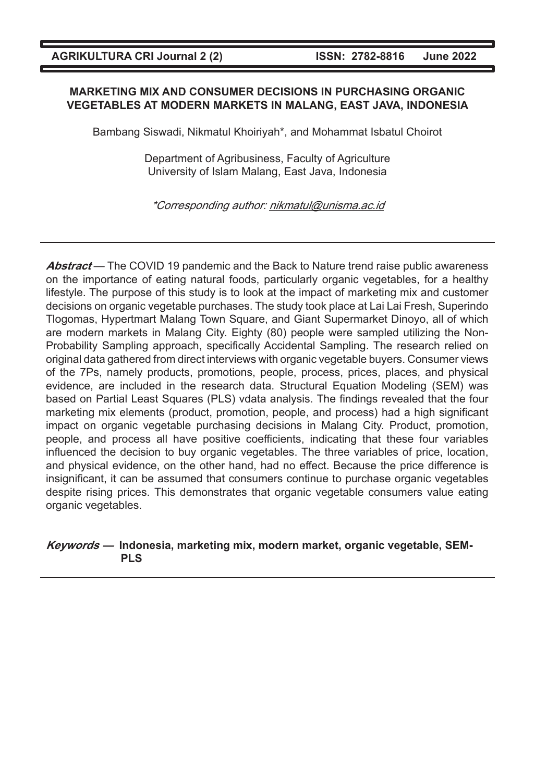#### **MARKETING MIX AND CONSUMER DECISIONS IN PURCHASING ORGANIC VEGETABLES AT MODERN MARKETS IN MALANG, EAST JAVA, INDONESIA**

Bambang Siswadi, Nikmatul Khoiriyah\*, and Mohammat Isbatul Choirot

Department of Agribusiness, Faculty of Agriculture University of Islam Malang, East Java, Indonesia

\*Corresponding author: nikmatul@unisma.ac.id

**Abstract** — The COVID 19 pandemic and the Back to Nature trend raise public awareness on the importance of eating natural foods, particularly organic vegetables, for a healthy lifestyle. The purpose of this study is to look at the impact of marketing mix and customer decisions on organic vegetable purchases. The study took place at Lai Lai Fresh, Superindo Tlogomas, Hypertmart Malang Town Square, and Giant Supermarket Dinoyo, all of which are modern markets in Malang City. Eighty (80) people were sampled utilizing the Non-Probability Sampling approach, specifically Accidental Sampling. The research relied on original data gathered from direct interviews with organic vegetable buyers. Consumer views of the 7Ps, namely products, promotions, people, process, prices, places, and physical evidence, are included in the research data. Structural Equation Modeling (SEM) was based on Partial Least Squares (PLS) vdata analysis. The findings revealed that the four marketing mix elements (product, promotion, people, and process) had a high significant impact on organic vegetable purchasing decisions in Malang City. Product, promotion, people, and process all have positive coefficients, indicating that these four variables influenced the decision to buy organic vegetables. The three variables of price, location, and physical evidence, on the other hand, had no effect. Because the price difference is insignificant, it can be assumed that consumers continue to purchase organic vegetables despite rising prices. This demonstrates that organic vegetable consumers value eating organic vegetables.

**Keywords — Indonesia, marketing mix, modern market, organic vegetable, SEM-PLS**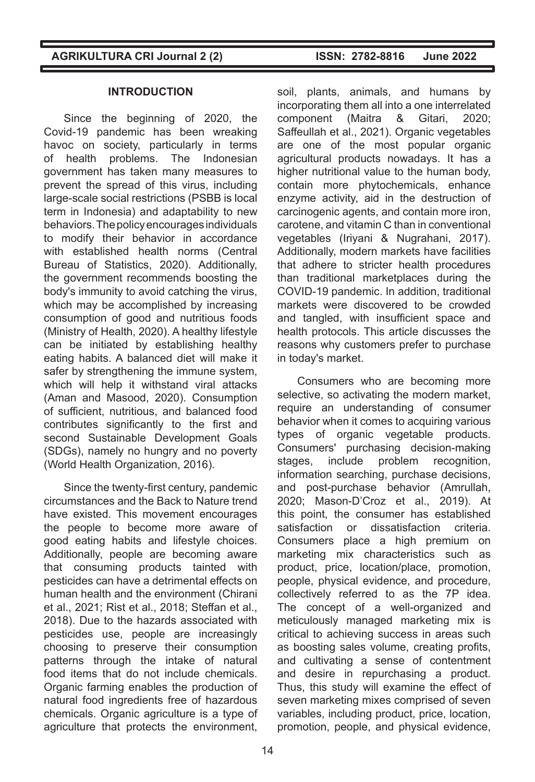#### **INTRODUCTION**

Since the beginning of 2020, the Covid-19 pandemic has been wreaking havoc on society, particularly in terms of health problems. The Indonesian government has taken many measures to prevent the spread of this virus, including large-scale social restrictions (PSBB is local term in Indonesia) and adaptability to new behaviors. The policy encourages individuals to modify their behavior in accordance with established health norms (Central Bureau of Statistics, 2020). Additionally, the government recommends boosting the body's immunity to avoid catching the virus, which may be accomplished by increasing consumption of good and nutritious foods (Ministry of Health, 2020). A healthy lifestyle can be initiated by establishing healthy eating habits. A balanced diet will make it safer by strengthening the immune system, which will help it withstand viral attacks (Aman and Masood, 2020). Consumption of sufficient, nutritious, and balanced food contributes significantly to the first and second Sustainable Development Goals (SDGs), namely no hungry and no poverty (World Health Organization, 2016).

Since the twenty-first century, pandemic circumstances and the Back to Nature trend have existed. This movement encourages the people to become more aware of good eating habits and lifestyle choices. Additionally, people are becoming aware that consuming products tainted with pesticides can have a detrimental effects on human health and the environment (Chirani et al., 2021; Rist et al., 2018; Steffan et al., 2018). Due to the hazards associated with pesticides use, people are increasingly choosing to preserve their consumption patterns through the intake of natural food items that do not include chemicals. Organic farming enables the production of natural food ingredients free of hazardous chemicals. Organic agriculture is a type of agriculture that protects the environment,

soil, plants, animals, and humans by incorporating them all into a one interrelated component (Maitra & Gitari, 2020; Saffeullah et al., 2021). Organic vegetables are one of the most popular organic agricultural products nowadays. It has a higher nutritional value to the human body, contain more phytochemicals, enhance enzyme activity, aid in the destruction of carcinogenic agents, and contain more iron, carotene, and vitamin C than in conventional vegetables (Iriyani & Nugrahani, 2017). Additionally, modern markets have facilities that adhere to stricter health procedures than traditional marketplaces during the COVID-19 pandemic. In addition, traditional markets were discovered to be crowded and tangled, with insufficient space and health protocols. This article discusses the reasons why customers prefer to purchase in today's market.

Consumers who are becoming more selective, so activating the modern market, require an understanding of consumer behavior when it comes to acquiring various types of organic vegetable products. Consumers' purchasing decision-making stages, include problem recognition, information searching, purchase decisions, and post-purchase behavior (Amrullah, 2020; Mason-D'Croz et al., 2019). At this point, the consumer has established satisfaction or dissatisfaction criteria. Consumers place a high premium on marketing mix characteristics such as product, price, location/place, promotion, people, physical evidence, and procedure, collectively referred to as the 7P idea. The concept of a well-organized and meticulously managed marketing mix is critical to achieving success in areas such as boosting sales volume, creating profits, and cultivating a sense of contentment and desire in repurchasing a product. Thus, this study will examine the effect of seven marketing mixes comprised of seven variables, including product, price, location, promotion, people, and physical evidence,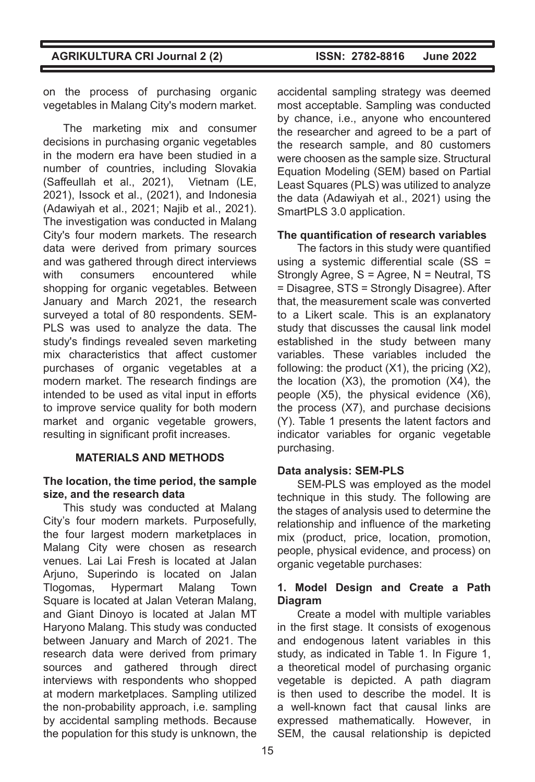on the process of purchasing organic vegetables in Malang City's modern market.

The marketing mix and consumer decisions in purchasing organic vegetables in the modern era have been studied in a number of countries, including Slovakia (Saffeullah et al., 2021), Vietnam (LE, 2021), Issock et al., (2021), and Indonesia (Adawiyah et al., 2021; Najib et al., 2021). The investigation was conducted in Malang City's four modern markets. The research data were derived from primary sources and was gathered through direct interviews with consumers encountered while shopping for organic vegetables. Between January and March 2021, the research surveyed a total of 80 respondents. SEM-PLS was used to analyze the data. The study's findings revealed seven marketing mix characteristics that affect customer purchases of organic vegetables at a modern market. The research findings are intended to be used as vital input in efforts to improve service quality for both modern market and organic vegetable growers, resulting in significant profit increases.

# **MATERIALS AND METHODS**

## **The location, the time period, the sample size, and the research data**

This study was conducted at Malang City's four modern markets. Purposefully, the four largest modern marketplaces in Malang City were chosen as research venues. Lai Lai Fresh is located at Jalan Arjuno, Superindo is located on Jalan Tlogomas, Hypermart Malang Town Square is located at Jalan Veteran Malang, and Giant Dinoyo is located at Jalan MT Haryono Malang. This study was conducted between January and March of 2021. The research data were derived from primary sources and gathered through direct interviews with respondents who shopped at modern marketplaces. Sampling utilized the non-probability approach, i.e. sampling by accidental sampling methods. Because the population for this study is unknown, the

accidental sampling strategy was deemed most acceptable. Sampling was conducted by chance, i.e., anyone who encountered the researcher and agreed to be a part of the research sample, and 80 customers were choosen as the sample size. Structural Equation Modeling (SEM) based on Partial Least Squares (PLS) was utilized to analyze the data (Adawiyah et al., 2021) using the SmartPLS 3.0 application.

## **The quantification of research variables**

The factors in this study were quantified using a systemic differential scale (SS = Strongly Agree, S = Agree, N = Neutral, TS = Disagree, STS = Strongly Disagree). After that, the measurement scale was converted to a Likert scale. This is an explanatory study that discusses the causal link model established in the study between many variables. These variables included the following: the product (X1), the pricing (X2), the location (X3), the promotion (X4), the people (X5), the physical evidence (X6), the process (X7), and purchase decisions (Y). Table 1 presents the latent factors and indicator variables for organic vegetable purchasing.

# **Data analysis: SEM-PLS**

SEM-PLS was employed as the model technique in this study. The following are the stages of analysis used to determine the relationship and influence of the marketing mix (product, price, location, promotion, people, physical evidence, and process) on organic vegetable purchases:

## **1. Model Design and Create a Path Diagram**

Create a model with multiple variables in the first stage. It consists of exogenous and endogenous latent variables in this study, as indicated in Table 1. In Figure 1, a theoretical model of purchasing organic vegetable is depicted. A path diagram is then used to describe the model. It is a well-known fact that causal links are expressed mathematically. However, in SEM, the causal relationship is depicted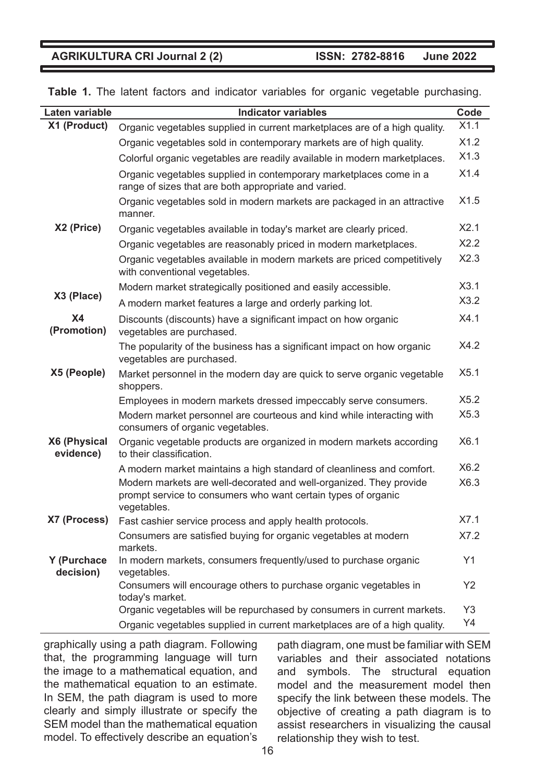**Table 1.** The latent factors and indicator variables for organic vegetable purchasing.

| Laten variable            | <b>Indicator variables</b>                                                                                                                         | Code |
|---------------------------|----------------------------------------------------------------------------------------------------------------------------------------------------|------|
| X1 (Product)              | Organic vegetables supplied in current marketplaces are of a high quality.                                                                         | X1.1 |
|                           | Organic vegetables sold in contemporary markets are of high quality.                                                                               | X1.2 |
|                           | Colorful organic vegetables are readily available in modern marketplaces.                                                                          | X1.3 |
|                           | Organic vegetables supplied in contemporary marketplaces come in a<br>range of sizes that are both appropriate and varied.                         | X1.4 |
|                           | Organic vegetables sold in modern markets are packaged in an attractive<br>manner.                                                                 | X1.5 |
| X2 (Price)                | Organic vegetables available in today's market are clearly priced.                                                                                 | X2.1 |
|                           | Organic vegetables are reasonably priced in modern marketplaces.                                                                                   | X2.2 |
|                           | Organic vegetables available in modern markets are priced competitively<br>with conventional vegetables.                                           | X2.3 |
|                           | Modern market strategically positioned and easily accessible.                                                                                      | X3.1 |
| X3 (Place)                | A modern market features a large and orderly parking lot.                                                                                          | X3.2 |
| <b>X4</b><br>(Promotion)  | Discounts (discounts) have a significant impact on how organic<br>vegetables are purchased.                                                        | X4.1 |
|                           | The popularity of the business has a significant impact on how organic<br>vegetables are purchased.                                                | X4.2 |
| X5 (People)               | Market personnel in the modern day are quick to serve organic vegetable<br>shoppers.                                                               | X5.1 |
|                           | Employees in modern markets dressed impeccably serve consumers.                                                                                    | X5.2 |
|                           | Modern market personnel are courteous and kind while interacting with<br>consumers of organic vegetables.                                          | X5.3 |
| X6 (Physical<br>evidence) | Organic vegetable products are organized in modern markets according<br>to their classification.                                                   | X6.1 |
|                           | A modern market maintains a high standard of cleanliness and comfort.                                                                              | X6.2 |
|                           | Modern markets are well-decorated and well-organized. They provide<br>prompt service to consumers who want certain types of organic<br>vegetables. | X6.3 |
| X7 (Process)              | Fast cashier service process and apply health protocols.                                                                                           | X7.1 |
|                           | Consumers are satisfied buying for organic vegetables at modern<br>markets.                                                                        | X7.2 |
| Y (Purchace<br>decision)  | In modern markets, consumers frequently/used to purchase organic<br>vegetables.                                                                    | Y1   |
|                           | Consumers will encourage others to purchase organic vegetables in<br>today's market.                                                               | Y2   |
|                           | Organic vegetables will be repurchased by consumers in current markets.                                                                            | Y3   |
|                           | Organic vegetables supplied in current marketplaces are of a high quality.                                                                         | Y4   |

graphically using a path diagram. Following that, the programming language will turn the image to a mathematical equation, and the mathematical equation to an estimate. In SEM, the path diagram is used to more clearly and simply illustrate or specify the SEM model than the mathematical equation model. To effectively describe an equation's

path diagram, one must be familiar with SEM variables and their associated notations and symbols. The structural equation model and the measurement model then specify the link between these models. The objective of creating a path diagram is to assist researchers in visualizing the causal relationship they wish to test.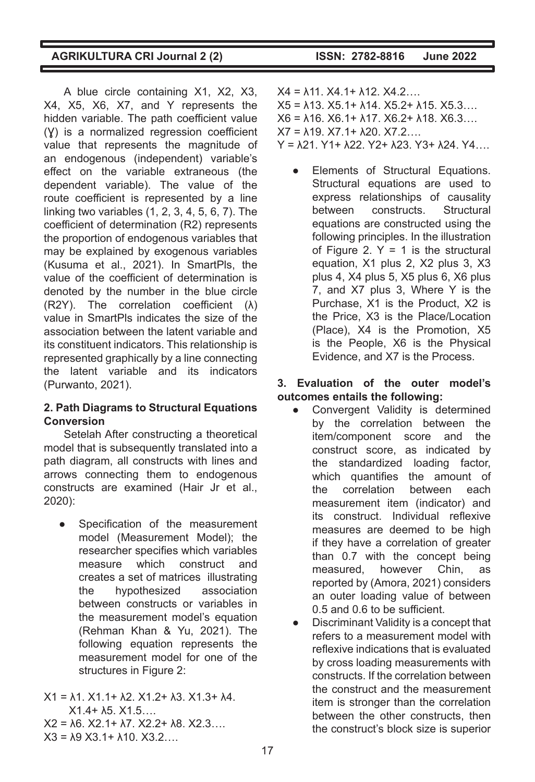|  |  |  |  |  |  | <b>AGRIKULTURA CRI Journal 2 (2)</b> |  |  |  |
|--|--|--|--|--|--|--------------------------------------|--|--|--|
|--|--|--|--|--|--|--------------------------------------|--|--|--|

A blue circle containing X1, X2, X3, X4, X5, X6, X7, and Y represents the hidden variable. The path coefficient value (Y) is a normalized regression coefficient value that represents the magnitude of an endogenous (independent) variable's effect on the variable extraneous (the dependent variable). The value of the route coefficient is represented by a line linking two variables (1, 2, 3, 4, 5, 6, 7). The coefficient of determination (R2) represents the proportion of endogenous variables that may be explained by exogenous variables (Kusuma et al., 2021). In SmartPls, the value of the coefficient of determination is denoted by the number in the blue circle (R2Y). The correlation coefficient (λ) value in SmartPls indicates the size of the association between the latent variable and its constituent indicators. This relationship is represented graphically by a line connecting the latent variable and its indicators (Purwanto, 2021).

## **2. Path Diagrams to Structural Equations Conversion**

Setelah After constructing a theoretical model that is subsequently translated into a path diagram, all constructs with lines and arrows connecting them to endogenous constructs are examined (Hair Jr et al., 2020):

Specification of the measurement model (Measurement Model); the researcher specifies which variables measure which construct and creates a set of matrices illustrating the hypothesized association between constructs or variables in the measurement model's equation (Rehman Khan & Yu, 2021). The following equation represents the measurement model for one of the structures in Figure 2:

 $X1 = \lambda 1$ .  $X1$ .  $1 + \lambda 2$ .  $X1$ .  $2 + \lambda 3$ .  $X1$ .  $3 + \lambda 4$ . X1.4+ λ5. X1.5….  $X2 = \lambda 6$ .  $X2.1 + \lambda 7$ .  $X2.2 + \lambda 8$ .  $X2.3...$  $X3 = \lambda 9 X3.1 + \lambda 10 X3.2...$ 

- $X4 = \lambda 11$ .  $X4.1 + \lambda 12$ .  $X4.2$  $X5 = \lambda 13. X5.1 + \lambda 14. X5.2 + \lambda 15. X5.3....$  $X6 = \lambda 16. X6.1 + \lambda 17. X6.2 + \lambda 18. X6.3...$  $X7 = \lambda 19. X7.1 + \lambda 20. X7.2...$  $Y = \lambda 21. Y1 + \lambda 22. Y2 + \lambda 23. Y3 + \lambda 24. Y4....$ 
	- Elements of Structural Equations. Structural equations are used to express relationships of causality between constructs. Structural equations are constructed using the following principles. In the illustration of Figure 2.  $Y = 1$  is the structural equation, X1 plus 2, X2 plus 3, X3 plus 4, X4 plus 5, X5 plus 6, X6 plus 7, and X7 plus 3, Where Y is the Purchase, X1 is the Product, X2 is the Price, X3 is the Place/Location (Place), X4 is the Promotion, X5 is the People, X6 is the Physical Evidence, and X7 is the Process.

## **3. Evaluation of the outer model's outcomes entails the following:**

- Convergent Validity is determined by the correlation between the item/component score and the construct score, as indicated by the standardized loading factor, which quantifies the amount of the correlation between each measurement item (indicator) and its construct. Individual reflexive measures are deemed to be high if they have a correlation of greater than 0.7 with the concept being measured, however Chin, as reported by (Amora, 2021) considers an outer loading value of between 0.5 and 0.6 to be sufficient.
- Discriminant Validity is a concept that refers to a measurement model with reflexive indications that is evaluated by cross loading measurements with constructs. If the correlation between the construct and the measurement item is stronger than the correlation between the other constructs, then the construct's block size is superior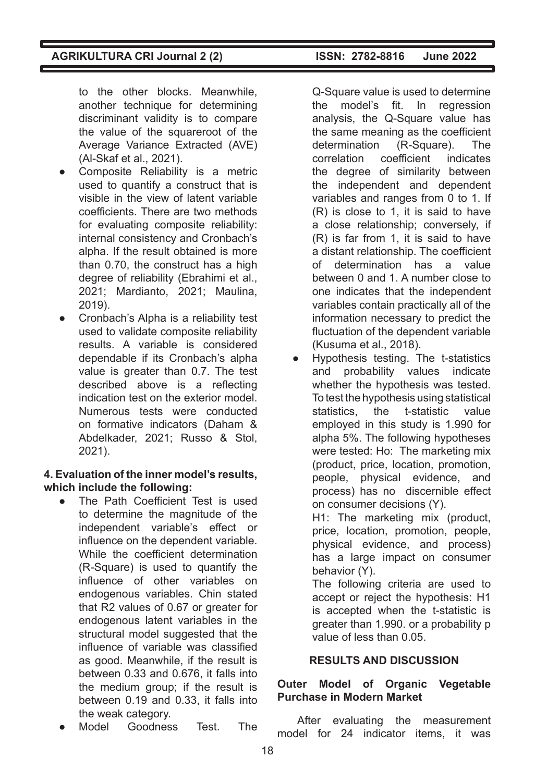to the other blocks. Meanwhile, another technique for determining discriminant validity is to compare the value of the squareroot of the Average Variance Extracted (AVE) (Al-Skaf et al., 2021).

- Composite Reliability is a metric used to quantify a construct that is visible in the view of latent variable coefficients. There are two methods for evaluating composite reliability: internal consistency and Cronbach's alpha. If the result obtained is more than 0.70, the construct has a high degree of reliability (Ebrahimi et al., 2021; Mardianto, 2021; Maulina, 2019).
- Cronbach's Alpha is a reliability test used to validate composite reliability results. A variable is considered dependable if its Cronbach's alpha value is greater than 0.7. The test described above is a reflecting indication test on the exterior model. Numerous tests were conducted on formative indicators (Daham & Abdelkader, 2021; Russo & Stol, 2021).

#### **4. Evaluation of the inner model's results, which include the following:**

- The Path Coefficient Test is used to determine the magnitude of the independent variable's effect or influence on the dependent variable. While the coefficient determination (R-Square) is used to quantify the influence of other variables on endogenous variables. Chin stated that R2 values of 0.67 or greater for endogenous latent variables in the structural model suggested that the influence of variable was classified as good. Meanwhile, if the result is between 0.33 and 0.676, it falls into the medium group; if the result is between 0.19 and 0.33, it falls into the weak category.
- Model Goodness Test. The

Q-Square value is used to determine the model's fit. In regression analysis, the Q-Square value has the same meaning as the coefficient determination (R-Square). The correlation coefficient indicates the degree of similarity between the independent and dependent variables and ranges from 0 to 1. If (R) is close to 1, it is said to have a close relationship; conversely, if (R) is far from 1, it is said to have a distant relationship. The coefficient of determination has a value between 0 and 1. A number close to one indicates that the independent variables contain practically all of the information necessary to predict the fluctuation of the dependent variable (Kusuma et al., 2018).

● Hypothesis testing. The t-statistics and probability values indicate whether the hypothesis was tested. To test the hypothesis using statistical statistics, the t-statistic value employed in this study is 1.990 for alpha 5%. The following hypotheses were tested: Ho: The marketing mix (product, price, location, promotion, people, physical evidence, and process) has no discernible effect on consumer decisions (Y).

H1: The marketing mix (product, price, location, promotion, people, physical evidence, and process) has a large impact on consumer behavior (Y).

The following criteria are used to accept or reject the hypothesis: H1 is accepted when the t-statistic is greater than 1.990. or a probability p value of less than 0.05.

# **RESULTS AND DISCUSSION**

## **Outer Model of Organic Vegetable Purchase in Modern Market**

After evaluating the measurement model for 24 indicator items, it was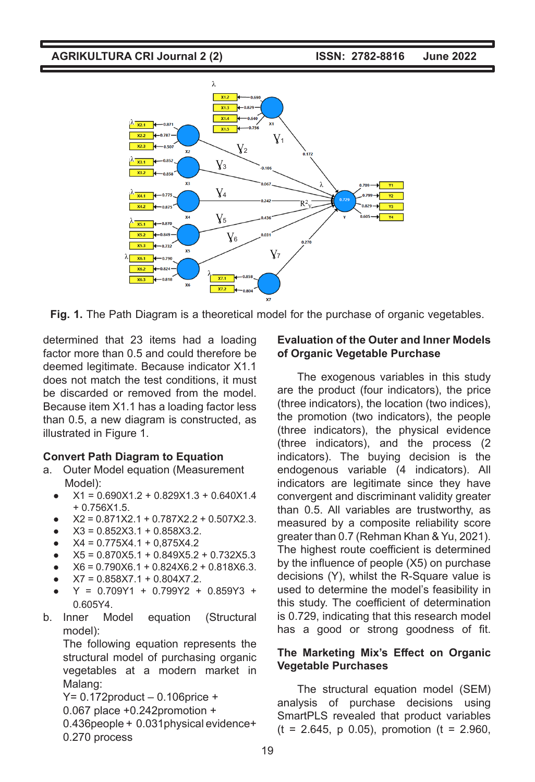

**Fig. 1.** The Path Diagram is a theoretical model for the purchase of organic vegetables.

determined that 23 items had a loading factor more than 0.5 and could therefore be deemed legitimate. Because indicator X1.1 does not match the test conditions, it must be discarded or removed from the model. Because item X1.1 has a loading factor less than 0.5, a new diagram is constructed, as illustrated in Figure 1.

#### **Convert Path Diagram to Equation**

- a. Outer Model equation (Measurement Model):
	- $\bullet$  X1 = 0.690X1.2 + 0.829X1.3 + 0.640X1.4 + 0.756X1.5.
	- $\bullet$   $X2 = 0.871X2.1 + 0.787X2.2 + 0.507X2.3$ .
	- $X3 = 0.852X3.1 + 0.858X3.2$ .
	- $\bullet$  X4 = 0.775X4.1 + 0,875X4.2
	- $X5 = 0.870X5.1 + 0.849X5.2 + 0.732X5.3$
	- $X6 = 0.790X6.1 + 0.824X6.2 + 0.818X6.3.$
	- $X7 = 0.858X7.1 + 0.804X7.2$ .
	- $Y = 0.709Y1 + 0.799Y2 + 0.859Y3 +$ 0.605Y4.
- b. Inner Model equation (Structural model):

The following equation represents the structural model of purchasing organic vegetables at a modern market in Malang:

Y= 0.172product – 0.106price + 0.067 place +0.242promotion + 0.436people + 0.031physical evidence+ 0.270 process

#### **Evaluation of the Outer and Inner Models of Organic Vegetable Purchase**

The exogenous variables in this study are the product (four indicators), the price (three indicators), the location (two indices), the promotion (two indicators), the people (three indicators), the physical evidence (three indicators), and the process (2 indicators). The buying decision is the endogenous variable (4 indicators). All indicators are legitimate since they have convergent and discriminant validity greater than 0.5. All variables are trustworthy, as measured by a composite reliability score greater than 0.7 (Rehman Khan & Yu, 2021). The highest route coefficient is determined by the influence of people (X5) on purchase decisions (Y), whilst the R-Square value is used to determine the model's feasibility in this study. The coefficient of determination is 0.729, indicating that this research model has a good or strong goodness of fit.

#### **The Marketing Mix's Effect on Organic Vegetable Purchases**

The structural equation model (SEM) analysis of purchase decisions using SmartPLS revealed that product variables  $(t = 2.645, p \ 0.05)$ , promotion  $(t = 2.960,$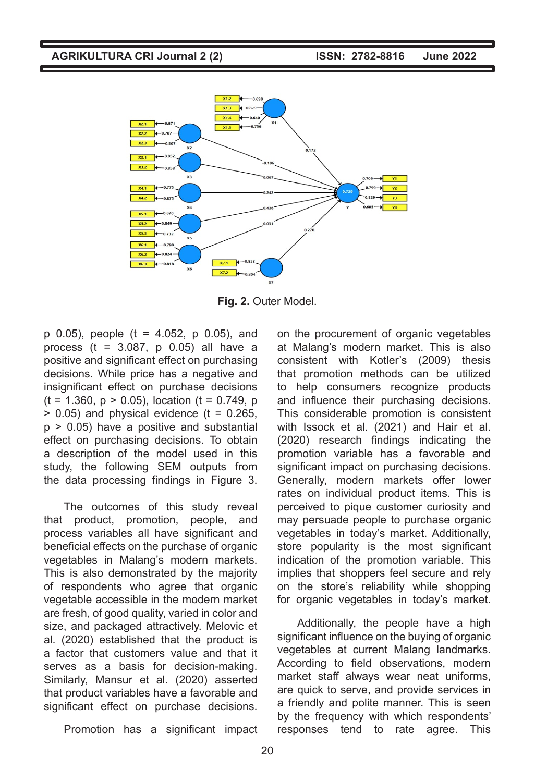

**Fig. 2.** Outer Model.

p 0.05), people (t = 4.052, p 0.05), and process ( $t = 3.087$ ,  $p = 0.05$ ) all have a positive and significant effect on purchasing decisions. While price has a negative and insignificant effect on purchase decisions  $(t = 1.360, p > 0.05)$ , location  $(t = 0.749, p)$  $> 0.05$ ) and physical evidence ( $t = 0.265$ ,  $p > 0.05$ ) have a positive and substantial effect on purchasing decisions. To obtain a description of the model used in this study, the following SEM outputs from the data processing findings in Figure 3.

The outcomes of this study reveal that product, promotion, people, and process variables all have significant and beneficial effects on the purchase of organic vegetables in Malang's modern markets. This is also demonstrated by the majority of respondents who agree that organic vegetable accessible in the modern market are fresh, of good quality, varied in color and size, and packaged attractively. Melovic et al. (2020) established that the product is a factor that customers value and that it serves as a basis for decision-making. Similarly, Mansur et al. (2020) asserted that product variables have a favorable and significant effect on purchase decisions.

Promotion has a significant impact

on the procurement of organic vegetables at Malang's modern market. This is also consistent with Kotler's (2009) thesis that promotion methods can be utilized to help consumers recognize products and influence their purchasing decisions. This considerable promotion is consistent with Issock et al. (2021) and Hair et al. (2020) research findings indicating the promotion variable has a favorable and significant impact on purchasing decisions. Generally, modern markets offer lower rates on individual product items. This is perceived to pique customer curiosity and may persuade people to purchase organic vegetables in today's market. Additionally, store popularity is the most significant indication of the promotion variable. This implies that shoppers feel secure and rely on the store's reliability while shopping for organic vegetables in today's market.

Additionally, the people have a high significant influence on the buying of organic vegetables at current Malang landmarks. According to field observations, modern market staff always wear neat uniforms, are quick to serve, and provide services in a friendly and polite manner. This is seen by the frequency with which respondents' responses tend to rate agree. This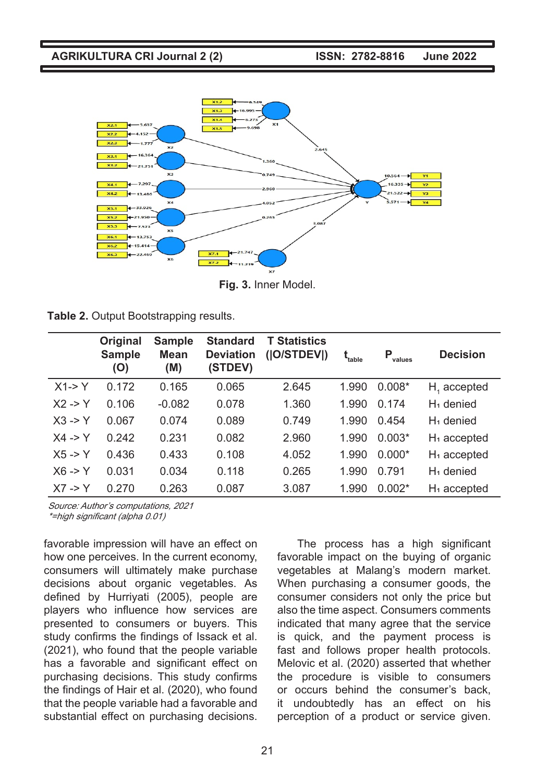

**Fig. 3.** Inner Model.

|  |  | Table 2. Output Bootstrapping results. |  |
|--|--|----------------------------------------|--|
|--|--|----------------------------------------|--|

|                    | Original<br><b>Sample</b><br>(O) | <b>Sample</b><br><b>Mean</b><br>(M) | <b>Standard</b><br><b>Deviation</b><br>(STDEV) | <b>T Statistics</b><br>( O/STDEV ) | $\mathbf{t}_{_{\rm table}}$ | Р<br>values | <b>Decision</b>         |
|--------------------|----------------------------------|-------------------------------------|------------------------------------------------|------------------------------------|-----------------------------|-------------|-------------------------|
| $X1 - > Y$         | 0.172                            | 0.165                               | 0.065                                          | 2.645                              | 1.990                       | $0.008*$    | $H1$ accepted           |
| $X2 - Y$           | 0.106                            | $-0.082$                            | 0.078                                          | 1.360                              | 1.990                       | 0.174       | $H_1$ denied            |
| $X3 - Y$           | 0.067                            | 0.074                               | 0.089                                          | 0.749                              | 1.990                       | 0.454       | $H_1$ denied            |
| $X4 \rightarrow Y$ | 0.242                            | 0.231                               | 0.082                                          | 2.960                              | 1.990                       | $0.003*$    | H <sub>1</sub> accepted |
| $X5 - Y$           | 0.436                            | 0.433                               | 0.108                                          | 4.052                              | 1.990                       | $0.000*$    | H <sub>1</sub> accepted |
| $X6 - Y$           | 0.031                            | 0.034                               | 0.118                                          | 0.265                              | 1.990                       | 0.791       | $H_1$ denied            |
| $X7 \rightarrow Y$ | 0.270                            | 0.263                               | 0.087                                          | 3.087                              | 1.990                       | $0.002*$    | H <sub>1</sub> accepted |

Source: Author's computations, 2021

\*=high significant (alpha 0.01)

favorable impression will have an effect on how one perceives. In the current economy, consumers will ultimately make purchase decisions about organic vegetables. As defined by Hurriyati (2005), people are players who influence how services are presented to consumers or buyers. This study confirms the findings of Issack et al. (2021), who found that the people variable has a favorable and significant effect on purchasing decisions. This study confirms the findings of Hair et al. (2020), who found that the people variable had a favorable and substantial effect on purchasing decisions.

The process has a high significant favorable impact on the buying of organic vegetables at Malang's modern market. When purchasing a consumer goods, the consumer considers not only the price but also the time aspect. Consumers comments indicated that many agree that the service is quick, and the payment process is fast and follows proper health protocols. Melovic et al. (2020) asserted that whether the procedure is visible to consumers or occurs behind the consumer's back, it undoubtedly has an effect on his perception of a product or service given.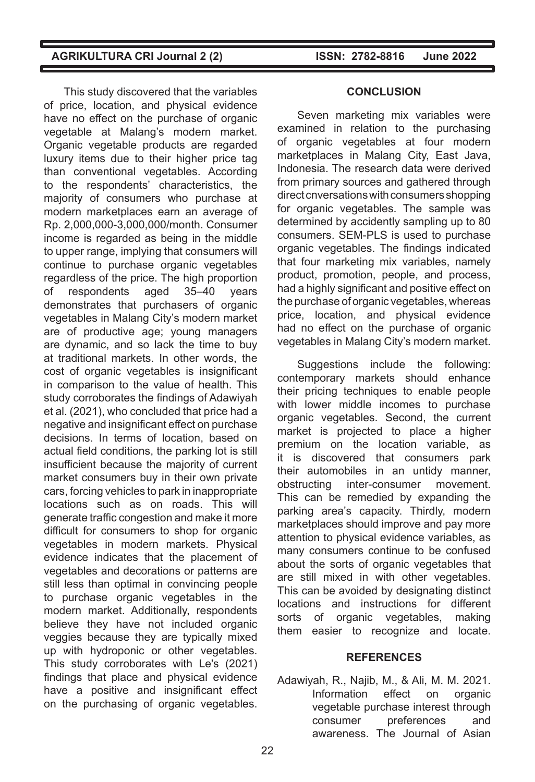This study discovered that the variables of price, location, and physical evidence have no effect on the purchase of organic vegetable at Malang's modern market. Organic vegetable products are regarded luxury items due to their higher price tag than conventional vegetables. According to the respondents' characteristics, the majority of consumers who purchase at modern marketplaces earn an average of Rp. 2,000,000-3,000,000/month. Consumer income is regarded as being in the middle to upper range, implying that consumers will continue to purchase organic vegetables regardless of the price. The high proportion of respondents aged 35–40 years demonstrates that purchasers of organic vegetables in Malang City's modern market are of productive age; young managers are dynamic, and so lack the time to buy at traditional markets. In other words, the cost of organic vegetables is insignificant in comparison to the value of health. This study corroborates the findings of Adawiyah et al. (2021), who concluded that price had a negative and insignificant effect on purchase decisions. In terms of location, based on actual field conditions, the parking lot is still insufficient because the majority of current market consumers buy in their own private cars, forcing vehicles to park in inappropriate locations such as on roads. This will generate traffic congestion and make it more difficult for consumers to shop for organic vegetables in modern markets. Physical evidence indicates that the placement of vegetables and decorations or patterns are still less than optimal in convincing people to purchase organic vegetables in the modern market. Additionally, respondents believe they have not included organic veggies because they are typically mixed up with hydroponic or other vegetables. This study corroborates with Le's (2021) findings that place and physical evidence have a positive and insignificant effect on the purchasing of organic vegetables.

#### **CONCLUSION**

Seven marketing mix variables were examined in relation to the purchasing of organic vegetables at four modern marketplaces in Malang City, East Java, Indonesia. The research data were derived from primary sources and gathered through direct cnversations with consumers shopping for organic vegetables. The sample was determined by accidently sampling up to 80 consumers. SEM-PLS is used to purchase organic vegetables. The findings indicated that four marketing mix variables, namely product, promotion, people, and process, had a highly significant and positive effect on the purchase of organic vegetables, whereas price, location, and physical evidence had no effect on the purchase of organic vegetables in Malang City's modern market.

Suggestions include the following: contemporary markets should enhance their pricing techniques to enable people with lower middle incomes to purchase organic vegetables. Second, the current market is projected to place a higher premium on the location variable, as it is discovered that consumers park their automobiles in an untidy manner, obstructing inter-consumer movement. This can be remedied by expanding the parking area's capacity. Thirdly, modern marketplaces should improve and pay more attention to physical evidence variables, as many consumers continue to be confused about the sorts of organic vegetables that are still mixed in with other vegetables. This can be avoided by designating distinct locations and instructions for different sorts of organic vegetables, making them easier to recognize and locate.

#### **REFERENCES**

Adawiyah, R., Najib, M., & Ali, M. M. 2021. Information effect on organic vegetable purchase interest through consumer preferences and awareness. The Journal of Asian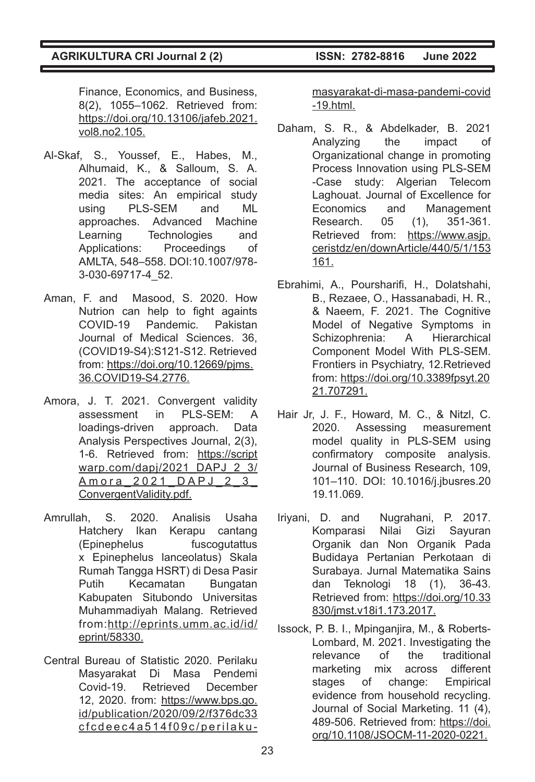Finance, Economics, and Business, 8(2), 1055–1062. Retrieved from: https://doi.org/10.13106/jafeb.2021. vol8.no2.105.

- Al-Skaf, S., Youssef, E., Habes, M., Alhumaid, K., & Salloum, S. A. 2021. The acceptance of social media sites: An empirical study using PLS-SEM and ML approaches. Advanced Machine Learning Technologies and Applications: Proceedings of AMLTA, 548–558. DOI:10.1007/978- 3-030-69717-4\_52.
- Aman, F. and Masood, S. 2020. How Nutrion can help to fight againts COVID-19 Pandemic. Pakistan Journal of Medical Sciences. 36, (COVID19-S4):S121-S12. Retrieved from: https://doi.org/10.12669/pjms. 36.COVID19-S4.2776.
- Amora, J. T. 2021. Convergent validity assessment in PLS-SEM: A loadings-driven approach. Data Analysis Perspectives Journal, 2(3), 1-6. Retrieved from: https://script warp.com/dapj/2021\_DAPJ\_2\_3/ Amora\_2021\_DAPJ\_2\_3\_ ConvergentValidity.pdf.
- Amrullah, S. 2020. Analisis Usaha Hatchery Ikan Kerapu cantang (Epinephelus fuscogutattus x Epinephelus lanceolatus) Skala Rumah Tangga HSRT) di Desa Pasir Putih Kecamatan Bungatan Kabupaten Situbondo Universitas Muhammadiyah Malang. Retrieved from:http://eprints.umm.ac.id/id/ eprint/58330.
- Central Bureau of Statistic 2020. Perilaku Masyarakat Di Masa Pendemi Covid-19. Retrieved December 12, 2020. from: https://www.bps.go. id/publication/2020/09/2/f376dc33 cfcdeec4a514f09c/perilaku-

masyarakat-di-masa-pandemi-covid -19.html.

- Daham, S. R., & Abdelkader, B. 2021 Analyzing the impact of Organizational change in promoting Process Innovation using PLS-SEM -Case study: Algerian Telecom Laghouat. Journal of Excellence for Economics and Management Research. 05 (1), 351-361. Retrieved from: https://www.asjp. ceristdz/en/downArticle/440/5/1/153 161.
- Ebrahimi, A., Poursharifi, H., Dolatshahi, B., Rezaee, O., Hassanabadi, H. R., & Naeem, F. 2021. The Cognitive Model of Negative Symptoms in Schizophrenia: A Hierarchical Component Model With PLS-SEM. Frontiers in Psychiatry, 12.Retrieved from: https://doi.org/10.3389fpsyt.20 21.707291.
- Hair Jr, J. F., Howard, M. C., & Nitzl, C. 2020. Assessing measurement model quality in PLS-SEM using confirmatory composite analysis. Journal of Business Research, 109, 101–110. DOI: 10.1016/j.jbusres.20 19.11.069.
- Iriyani, D. and Nugrahani, P. 2017. Komparasi Nilai Gizi Sayuran Organik dan Non Organik Pada Budidaya Pertanian Perkotaan di Surabaya. Jurnal Matematika Sains dan Teknologi 18 (1), 36-43. Retrieved from: https://doi.org/10.33 830/jmst.v18i1.173.2017.
- Issock, P. B. I., Mpinganjira, M., & Roberts-Lombard, M. 2021. Investigating the relevance of the traditional marketing mix across different stages of change: Empirical evidence from household recycling. Journal of Social Marketing. 11 (4), 489-506. Retrieved from: https://doi. org/10.1108/JSOCM-11-2020-0221.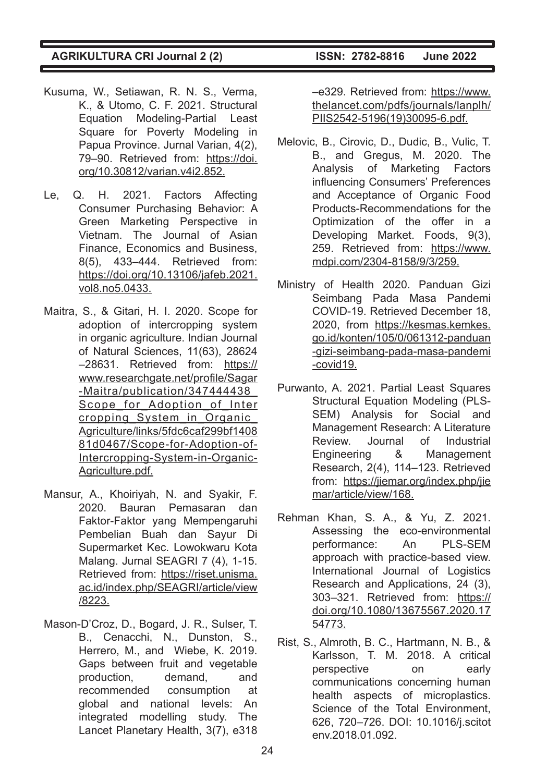- Kusuma, W., Setiawan, R. N. S., Verma, K., & Utomo, C. F. 2021. Structural Equation Modeling-Partial Least Square for Poverty Modeling in Papua Province. Jurnal Varian, 4(2), 79–90. Retrieved from: https://doi. org/10.30812/varian.v4i2.852.
- Le, Q. H. 2021. Factors Affecting Consumer Purchasing Behavior: A Green Marketing Perspective in Vietnam. The Journal of Asian Finance, Economics and Business, 8(5), 433–444. Retrieved from: https://doi.org/10.13106/jafeb.2021. vol8.no5.0433.
- Maitra, S., & Gitari, H. I. 2020. Scope for adoption of intercropping system in organic agriculture. Indian Journal of Natural Sciences, 11(63), 28624 –28631. Retrieved from: https:// www.researchgate.net/profile/Sagar -Maitra/publication/347444438\_ Scope for Adoption of Inter cropping\_System\_in\_Organic\_ Agriculture/links/5fdc6caf299bf1408 81d0467/Scope-for-Adoption-of-Intercropping-System-in-Organic-Agriculture.pdf.
- Mansur, A., Khoiriyah, N. and Syakir, F. 2020. Bauran Pemasaran dan Faktor-Faktor yang Mempengaruhi Pembelian Buah dan Sayur Di Supermarket Kec. Lowokwaru Kota Malang. Jurnal SEAGRI 7 (4), 1-15. Retrieved from: https://riset.unisma. ac.id/index.php/SEAGRI/article/view /8223.
- Mason-D'Croz, D., Bogard, J. R., Sulser, T. B., Cenacchi, N., Dunston, S., Herrero, M., and Wiebe, K. 2019. Gaps between fruit and vegetable production, demand, and recommended consumption at global and national levels: An integrated modelling study. The Lancet Planetary Health, 3(7), e318

–e329. Retrieved from: https://www. thelancet.com/pdfs/journals/lanplh/ PIIS2542-5196(19)30095-6.pdf.

- Melovic, B., Cirovic, D., Dudic, B., Vulic, T. B., and Gregus, M. 2020. The Analysis of Marketing Factors influencing Consumers' Preferences and Acceptance of Organic Food Products-Recommendations for the Optimization of the offer in a Developing Market. Foods, 9(3), 259. Retrieved from: https://www. mdpi.com/2304-8158/9/3/259.
- Ministry of Health 2020. Panduan Gizi Seimbang Pada Masa Pandemi COVID-19. Retrieved December 18, 2020, from https://kesmas.kemkes. go.id/konten/105/0/061312-panduan -gizi-seimbang-pada-masa-pandemi -covid19.
- Purwanto, A. 2021. Partial Least Squares Structural Equation Modeling (PLS-SEM) Analysis for Social and Management Research: A Literature Review. Journal of Industrial Engineering & Management Research, 2(4), 114–123. Retrieved from: https://jiemar.org/index.php/jie mar/article/view/168.
- Rehman Khan, S. A., & Yu, Z. 2021. Assessing the eco-environmental performance: An PLS-SEM approach with practice-based view. International Journal of Logistics Research and Applications, 24 (3), 303–321. Retrieved from: https:// doi.org/10.1080/13675567.2020.17 54773.
- Rist, S., Almroth, B. C., Hartmann, N. B., & Karlsson, T. M. 2018. A critical perspective on early communications concerning human health aspects of microplastics. Science of the Total Environment, 626, 720–726. DOI: 10.1016/j.scitot env.2018.01.092.